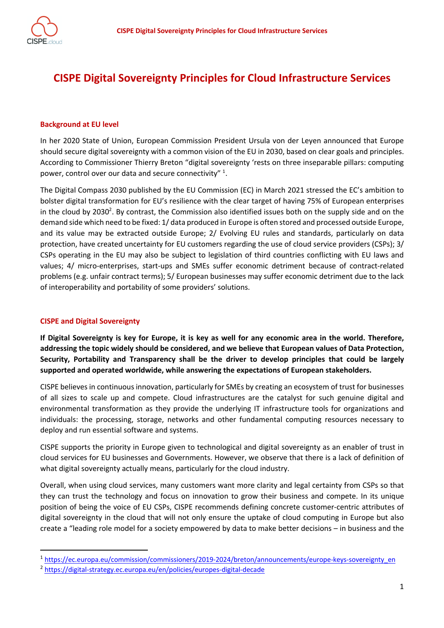

# **CISPE Digital Sovereignty Principles for Cloud Infrastructure Services**

#### **Background at EU level**

In her 2020 State of Union, European Commission President Ursula von der Leyen announced that Europe should secure digital sovereignty with a common vision of the EU in 2030, based on clear goals and principles. According to Commissioner Thierry Breton "digital sovereignty 'rests on three inseparable pillars: computing power, control over our data and secure connectivity"  $1$ .

The Digital Compass 2030 published by the EU Commission (EC) in March 2021 stressed the EC's ambition to bolster digital transformation for EU's resilience with the clear target of having 75% of European enterprises in the cloud by 2030<sup>2</sup>. By contrast, the Commission also identified issues both on the supply side and on the demand side which need to be fixed: 1/ data produced in Europe is often stored and processed outside Europe, and its value may be extracted outside Europe; 2/ Evolving EU rules and standards, particularly on data protection, have created uncertainty for EU customers regarding the use of cloud service providers (CSPs); 3/ CSPs operating in the EU may also be subject to legislation of third countries conflicting with EU laws and values; 4/ micro-enterprises, start-ups and SMEs suffer economic detriment because of contract-related problems (e.g. unfair contract terms); 5/ European businesses may suffer economic detriment due to the lack of interoperability and portability of some providers' solutions.

#### **CISPE and Digital Sovereignty**

**If Digital Sovereignty is key for Europe, it is key as well for any economic area in the world. Therefore, addressing the topic widely should be considered, and we believe that European values of Data Protection, Security, Portability and Transparency shall be the driver to develop principles that could be largely supported and operated worldwide, while answering the expectations of European stakeholders.** 

CISPE believes in continuous innovation, particularly for SMEs by creating an ecosystem of trust for businesses of all sizes to scale up and compete. Cloud infrastructures are the catalyst for such genuine digital and environmental transformation as they provide the underlying IT infrastructure tools for organizations and individuals: the processing, storage, networks and other fundamental computing resources necessary to deploy and run essential software and systems.

CISPE supports the priority in Europe given to technological and digital sovereignty as an enabler of trust in cloud services for EU businesses and Governments. However, we observe that there is a lack of definition of what digital sovereignty actually means, particularly for the cloud industry.

Overall, when using cloud services, many customers want more clarity and legal certainty from CSPs so that they can trust the technology and focus on innovation to grow their business and compete. In its unique position of being the voice of EU CSPs, CISPE recommends defining concrete customer-centric attributes of digital sovereignty in the cloud that will not only ensure the uptake of cloud computing in Europe but also create a "leading role model for a society empowered by data to make better decisions – in business and the

<sup>1</sup> https://ec.europa.eu/commission/commissioners/2019-2024/breton/announcements/europe-keys-sovereignty\_en

<sup>2</sup> https://digital-strategy.ec.europa.eu/en/policies/europes-digital-decade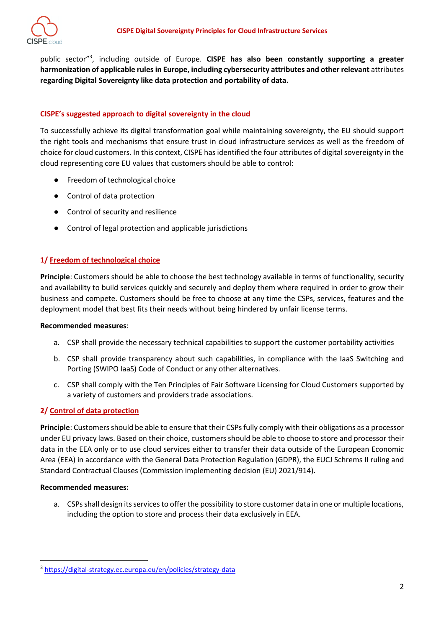public sector"3 , including outside of Europe. **CISPE has also been constantly supporting a greater harmonization of applicable rules in Europe, including cybersecurity attributes and other relevant** attributes **regarding Digital Sovereignty like data protection and portability of data.**

### **CISPE's suggested approach to digital sovereignty in the cloud**

To successfully achieve its digital transformation goal while maintaining sovereignty, the EU should support the right tools and mechanisms that ensure trust in cloud infrastructure services as well as the freedom of choice for cloud customers. In this context, CISPE has identified the four attributes of digital sovereignty in the cloud representing core EU values that customers should be able to control:

- Freedom of technological choice
- Control of data protection
- Control of security and resilience
- Control of legal protection and applicable jurisdictions

#### **1/ Freedom of technological choice**

**Principle**: Customers should be able to choose the best technology available in terms of functionality, security and availability to build services quickly and securely and deploy them where required in order to grow their business and compete. Customers should be free to choose at any time the CSPs, services, features and the deployment model that best fits their needs without being hindered by unfair license terms.

#### **Recommended measures**:

- a. CSP shall provide the necessary technical capabilities to support the customer portability activities
- b. CSP shall provide transparency about such capabilities, in compliance with the IaaS Switching and Porting (SWIPO IaaS) Code of Conduct or any other alternatives.
- c. CSP shall comply with the Ten Principles of Fair Software Licensing for Cloud Customers supported by a variety of customers and providers trade associations.

## **2/ Control of data protection**

**Principle**: Customers should be able to ensure that their CSPs fully comply with their obligations as a processor under EU privacy laws. Based on their choice, customers should be able to choose to store and processor their data in the EEA only or to use cloud services either to transfer their data outside of the European Economic Area (EEA) in accordance with the General Data Protection Regulation (GDPR), the EUCJ Schrems II ruling and Standard Contractual Clauses (Commission implementing decision (EU) 2021/914).

#### **Recommended measures:**

a. CSPs shall design its services to offer the possibility to store customer data in one or multiple locations, including the option to store and process their data exclusively in EEA.

<sup>3</sup> https://digital-strategy.ec.europa.eu/en/policies/strategy-data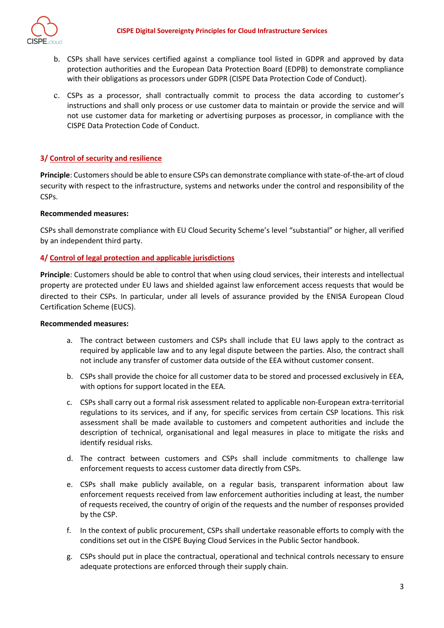

- b. CSPs shall have services certified against a compliance tool listed in GDPR and approved by data protection authorities and the European Data Protection Board (EDPB) to demonstrate compliance with their obligations as processors under GDPR (CISPE Data Protection Code of Conduct).
- c. CSPs as a processor, shall contractually commit to process the data according to customer's instructions and shall only process or use customer data to maintain or provide the service and will not use customer data for marketing or advertising purposes as processor, in compliance with the CISPE Data Protection Code of Conduct.

## **3/ Control of security and resilience**

**Principle**: Customers should be able to ensure CSPs can demonstrate compliance with state-of-the-art of cloud security with respect to the infrastructure, systems and networks under the control and responsibility of the CSPs.

### **Recommended measures:**

CSPs shall demonstrate compliance with EU Cloud Security Scheme's level "substantial" or higher, all verified by an independent third party.

## **4/ Control of legal protection and applicable jurisdictions**

**Principle**: Customers should be able to control that when using cloud services, their interests and intellectual property are protected under EU laws and shielded against law enforcement access requests that would be directed to their CSPs. In particular, under all levels of assurance provided by the ENISA European Cloud Certification Scheme (EUCS).

#### **Recommended measures:**

- a. The contract between customers and CSPs shall include that EU laws apply to the contract as required by applicable law and to any legal dispute between the parties. Also, the contract shall not include any transfer of customer data outside of the EEA without customer consent.
- b. CSPs shall provide the choice for all customer data to be stored and processed exclusively in EEA, with options for support located in the EEA.
- c. CSPs shall carry out a formal risk assessment related to applicable non-European extra-territorial regulations to its services, and if any, for specific services from certain CSP locations. This risk assessment shall be made available to customers and competent authorities and include the description of technical, organisational and legal measures in place to mitigate the risks and identify residual risks.
- d. The contract between customers and CSPs shall include commitments to challenge law enforcement requests to access customer data directly from CSPs.
- e. CSPs shall make publicly available, on a regular basis, transparent information about law enforcement requests received from law enforcement authorities including at least, the number of requests received, the country of origin of the requests and the number of responses provided by the CSP.
- f. In the context of public procurement, CSPs shall undertake reasonable efforts to comply with the conditions set out in the CISPE Buying Cloud Services in the Public Sector handbook.
- g. CSPs should put in place the contractual, operational and technical controls necessary to ensure adequate protections are enforced through their supply chain.